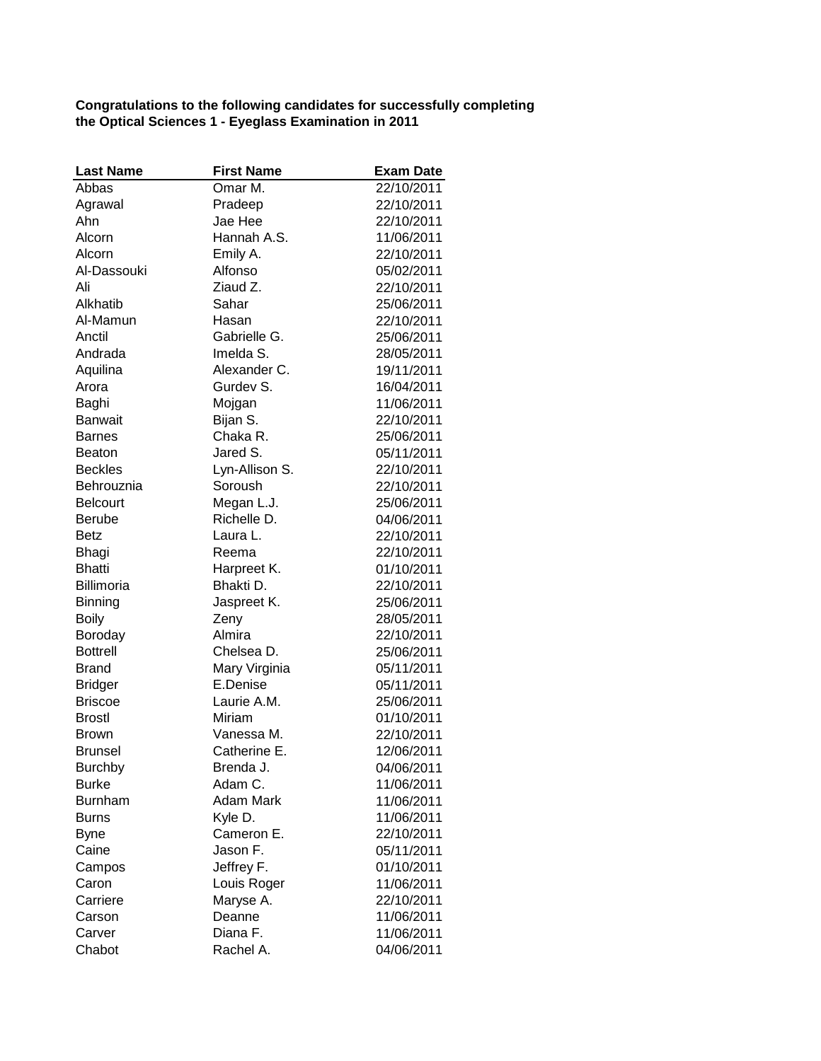**Congratulations to the following candidates for successfully completing the Optical Sciences 1 - Eyeglass Examination in 2011**

| <b>Last Name</b> | <b>First Name</b> | <b>Exam Date</b> |
|------------------|-------------------|------------------|
| Abbas            | Omar M.           | 22/10/2011       |
| Agrawal          | Pradeep           | 22/10/2011       |
| Ahn              | Jae Hee           | 22/10/2011       |
| Alcorn           | Hannah A.S.       | 11/06/2011       |
| Alcorn           | Emily A.          | 22/10/2011       |
| Al-Dassouki      | Alfonso           | 05/02/2011       |
| Ali              | Ziaud Z.          | 22/10/2011       |
| Alkhatib         | Sahar             | 25/06/2011       |
| Al-Mamun         | Hasan             | 22/10/2011       |
| Anctil           | Gabrielle G.      | 25/06/2011       |
| Andrada          | Imelda S.         | 28/05/2011       |
| Aquilina         | Alexander C.      | 19/11/2011       |
| Arora            | Gurdev S.         | 16/04/2011       |
| Baghi            | Mojgan            | 11/06/2011       |
| <b>Banwait</b>   | Bijan S.          | 22/10/2011       |
| <b>Barnes</b>    | Chaka R.          | 25/06/2011       |
| <b>Beaton</b>    | Jared S.          | 05/11/2011       |
| <b>Beckles</b>   | Lyn-Allison S.    | 22/10/2011       |
| Behrouznia       | Soroush           | 22/10/2011       |
| <b>Belcourt</b>  | Megan L.J.        | 25/06/2011       |
| <b>Berube</b>    | Richelle D.       | 04/06/2011       |
| <b>Betz</b>      | Laura L.          | 22/10/2011       |
| Bhagi            | Reema             | 22/10/2011       |
| <b>Bhatti</b>    | Harpreet K.       | 01/10/2011       |
| Billimoria       | Bhakti D.         | 22/10/2011       |
| <b>Binning</b>   | Jaspreet K.       | 25/06/2011       |
| <b>Boily</b>     | Zeny              | 28/05/2011       |
| Boroday          | Almira            | 22/10/2011       |
| <b>Bottrell</b>  | Chelsea D.        | 25/06/2011       |
| <b>Brand</b>     | Mary Virginia     | 05/11/2011       |
| <b>Bridger</b>   | E.Denise          | 05/11/2011       |
| <b>Briscoe</b>   | Laurie A.M.       | 25/06/2011       |
| <b>Brostl</b>    | Miriam            | 01/10/2011       |
| <b>Brown</b>     | Vanessa M.        | 22/10/2011       |
| <b>Brunsel</b>   | Catherine E.      | 12/06/2011       |
| Burchby          | Brenda J.         | 04/06/2011       |
| <b>Burke</b>     | Adam C.           | 11/06/2011       |
| <b>Burnham</b>   | Adam Mark         | 11/06/2011       |
| <b>Burns</b>     | Kyle D.           | 11/06/2011       |
| <b>Byne</b>      | Cameron E.        | 22/10/2011       |
| Caine            | Jason F.          | 05/11/2011       |
| Campos           | Jeffrey F.        | 01/10/2011       |
| Caron            | Louis Roger       | 11/06/2011       |
| Carriere         | Maryse A.         | 22/10/2011       |
| Carson           | Deanne            | 11/06/2011       |
| Carver           | Diana F.          | 11/06/2011       |
| Chabot           | Rachel A.         | 04/06/2011       |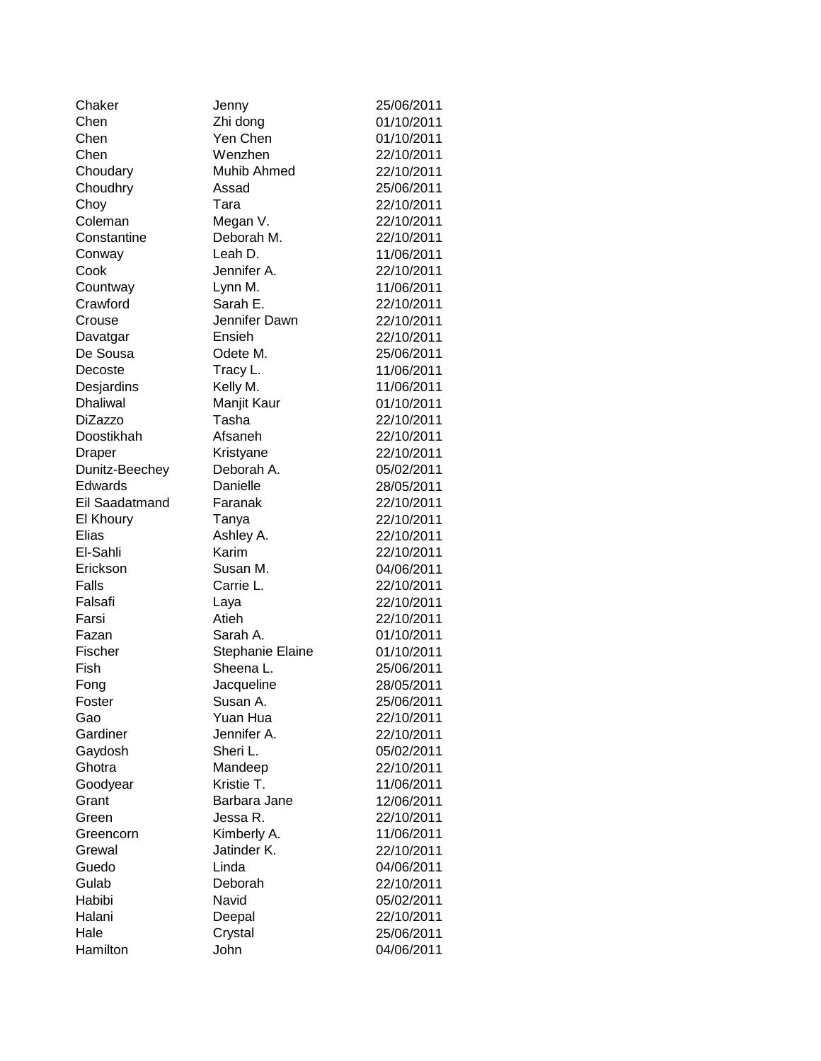| Chaker         | Jenny            | 25/06/2011               |
|----------------|------------------|--------------------------|
| Chen           | Zhi dong         | 01/10/2011               |
| Chen           | Yen Chen         | 01/10/2011               |
| Chen           | Wenzhen          | 22/10/2011               |
| Choudary       | Muhib Ahmed      | 22/10/2011               |
| Choudhry       | Assad            | 25/06/2011               |
| Choy           | Tara             | 22/10/2011               |
| Coleman        | Megan V.         | 22/10/2011               |
| Constantine    | Deborah M.       | 22/10/2011               |
| Conway         | Leah D.          | 11/06/2011               |
| Cook           | Jennifer A.      | 22/10/2011               |
| Countway       | Lynn M.          | 11/06/2011               |
| Crawford       | Sarah E.         | 22/10/2011               |
| Crouse         | Jennifer Dawn    | 22/10/2011               |
| Davatgar       | Ensieh           | 22/10/2011               |
| De Sousa       | Odete M.         | 25/06/2011               |
| Decoste        | Tracy L.         | 11/06/2011               |
| Desjardins     | Kelly M.         | 11/06/2011               |
| Dhaliwal       | Manjit Kaur      | 01/10/2011               |
| <b>DiZazzo</b> | Tasha            | 22/10/2011               |
| Doostikhah     | Afsaneh          | 22/10/2011               |
| Draper         | Kristyane        | 22/10/2011               |
| Dunitz-Beechey | Deborah A.       | 05/02/2011               |
| Edwards        | Danielle         | 28/05/2011               |
| Eil Saadatmand | Faranak          | 22/10/2011               |
| El Khoury      | Tanya            | 22/10/2011               |
| Elias          | Ashley A.        | 22/10/2011               |
| El-Sahli       | Karim            | 22/10/2011               |
| Erickson       | Susan M.         | 04/06/2011               |
| Falls          | Carrie L.        | 22/10/2011               |
| Falsafi        | Laya             | 22/10/2011               |
| Farsi          | Atieh            | 22/10/2011               |
| Fazan          | Sarah A.         | 01/10/2011               |
| Fischer        | Stephanie Elaine | 01/10/2011               |
| Fish           | Sheena L.        | 25/06/2011               |
| Fong           | Jacqueline       | 28/05/2011               |
| Foster         | Susan A.         | 25/06/2011               |
| Gao            | Yuan Hua         | 22/10/2011               |
| Gardiner       | Jennifer A.      | 22/10/2011               |
| Gaydosh        | Sheri L.         | 05/02/2011               |
| Ghotra         | Mandeep          | 22/10/2011               |
| Goodyear       | Kristie T.       | 11/06/2011               |
| Grant          | Barbara Jane     | 12/06/2011               |
| Green          | Jessa R.         | 22/10/2011               |
| Greencorn      | Kimberly A.      | 11/06/2011               |
| Grewal         | Jatinder K.      | 22/10/2011               |
| Guedo          | Linda            |                          |
| Gulab          | Deborah          | 04/06/2011<br>22/10/2011 |
| Habibi         | Navid            |                          |
| Halani         |                  | 05/02/2011               |
|                | Deepal           | 22/10/2011               |
| Hale           | Crystal          | 25/06/2011               |
| Hamilton       | John             | 04/06/2011               |

|             | 25/06 |
|-------------|-------|
| ng          | 01/10 |
| hen         | 01/10 |
| าen         | 22/10 |
| Ahmed       |       |
|             | 22/10 |
|             | 25/06 |
|             | 22/10 |
| ۱V.         | 22/10 |
|             |       |
| ah M.       | 22/10 |
| ).          | 11/06 |
| er A.       | 22/10 |
|             |       |
| Λ.          | 11/06 |
| Ε.          | 22/10 |
| er Dawn     | 22/10 |
|             |       |
| Ĭ.          | 22/10 |
| M.          | 25/06 |
| L.          | 11/06 |
| Λ.          | 11/06 |
|             |       |
| Kaur        | 01/10 |
|             | 22/10 |
| эh          | 22/10 |
|             |       |
| ane         | 22/10 |
| ah A.       | 05/02 |
| le          | 28/05 |
|             |       |
| эk          | 22/10 |
|             | 22/10 |
| A.          | 22/10 |
|             | 22/10 |
|             |       |
| M.          | 04/06 |
| L.          | 22/10 |
|             | 22/10 |
|             | 22/10 |
|             |       |
| Α.          | 01/10 |
| anie Elaine | 01/10 |
| а L.        | 25/06 |
|             |       |
| eline       | 28/05 |
| Α.          | 25/06 |
| Hua         | 22/10 |
|             | 22/10 |
| er A.       |       |
|             | 05/02 |
| ep          | 22/10 |
| T.          | 11/06 |
|             |       |
| ra Jane     | 12/06 |
| R.          | 22/10 |
| rly A.      | 11/06 |
|             |       |
| er K.       | 22/10 |
|             | 04/06 |
| ah          | 22/10 |
|             |       |
|             | 05/02 |
| վ           | 22/10 |
| J           | 25/06 |
|             | 04/06 |
|             |       |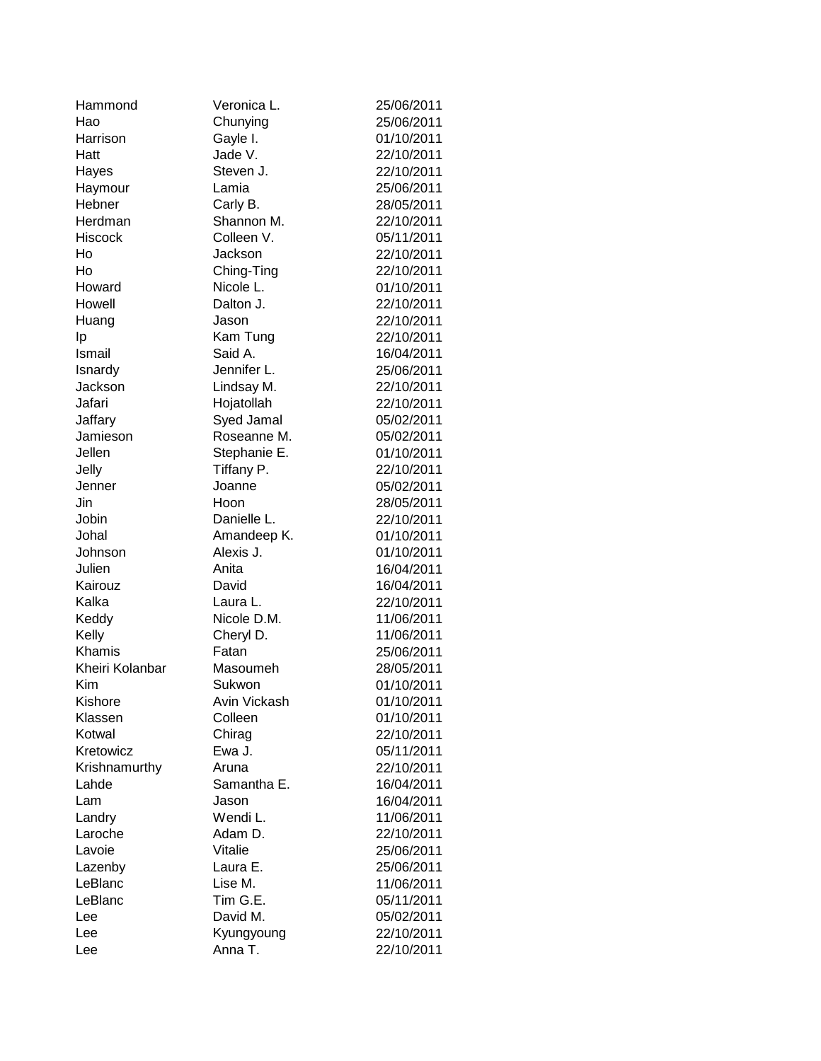| Hammond         | Veronica L.  | 25/06/2011 |
|-----------------|--------------|------------|
| Hao             | Chunying     | 25/06/2011 |
| Harrison        | Gayle I.     | 01/10/2011 |
| Hatt            | Jade V.      | 22/10/2011 |
| Hayes           | Steven J.    | 22/10/2011 |
| Haymour         | Lamia        | 25/06/2011 |
| Hebner          | Carly B.     | 28/05/2011 |
| Herdman         | Shannon M.   | 22/10/2011 |
| <b>Hiscock</b>  | Colleen V.   | 05/11/2011 |
| Ho              | Jackson      | 22/10/2011 |
| Ho              | Ching-Ting   | 22/10/2011 |
| Howard          | Nicole L.    | 01/10/2011 |
| Howell          | Dalton J.    | 22/10/2011 |
| Huang           | Jason        | 22/10/2011 |
| Ιp              | Kam Tung     | 22/10/2011 |
| Ismail          | Said A.      | 16/04/2011 |
| Isnardy         | Jennifer L.  | 25/06/2011 |
| Jackson         | Lindsay M.   | 22/10/2011 |
| Jafari          | Hojatollah   | 22/10/2011 |
| Jaffary         | Syed Jamal   | 05/02/2011 |
| Jamieson        | Roseanne M.  | 05/02/2011 |
| Jellen          | Stephanie E. | 01/10/2011 |
| Jelly           | Tiffany P.   | 22/10/2011 |
| Jenner          | Joanne       | 05/02/2011 |
| Jin             | Hoon         | 28/05/2011 |
| Jobin           | Danielle L.  | 22/10/2011 |
| Johal           | Amandeep K.  | 01/10/2011 |
| Johnson         | Alexis J.    | 01/10/2011 |
| Julien          | Anita        | 16/04/2011 |
| Kairouz         | David        | 16/04/2011 |
| Kalka           | Laura L.     | 22/10/2011 |
| Keddy           | Nicole D.M.  | 11/06/2011 |
| Kelly           | Cheryl D.    | 11/06/2011 |
| Khamis          | Fatan        | 25/06/2011 |
| Kheiri Kolanbar | Masoumeh     | 28/05/2011 |
| Kim             | Sukwon       | 01/10/2011 |
| Kishore         | Avin Vickash | 01/10/2011 |
| Klassen         | Colleen      | 01/10/2011 |
| Kotwal          | Chirag       | 22/10/2011 |
| Kretowicz       | Ewa J.       | 05/11/2011 |
| Krishnamurthy   | Aruna        | 22/10/2011 |
| Lahde           | Samantha E.  | 16/04/2011 |
| Lam             | Jason        | 16/04/2011 |
| Landry          | Wendi L.     | 11/06/2011 |
| Laroche         | Adam D.      | 22/10/2011 |
| Lavoie          | Vitalie      | 25/06/2011 |
| Lazenby         | Laura E.     | 25/06/2011 |
| LeBlanc         | Lise M.      | 11/06/2011 |
| LeBlanc         | Tim G.E.     | 05/11/2011 |
| Lee             | David M.     | 05/02/2011 |
| Lee             | Kyungyoung   | 22/10/2011 |
| Lee             | Anna T.      | 22/10/2011 |
|                 |              |            |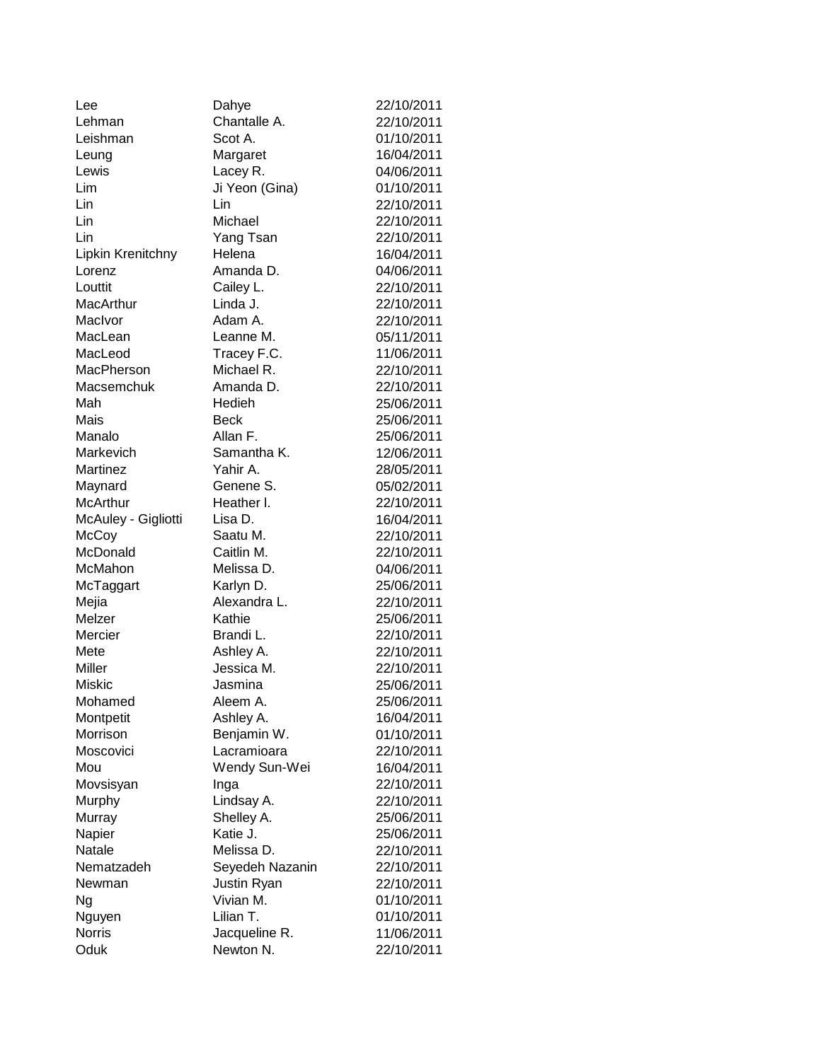| Lee                 | Dahye           | 22/10/2011 |
|---------------------|-----------------|------------|
| Lehman              | Chantalle A.    | 22/10/2011 |
| Leishman            | Scot A.         | 01/10/2011 |
| Leung               | Margaret        | 16/04/2011 |
| Lewis               | Lacey R.        | 04/06/2011 |
| Lim                 | Ji Yeon (Gina)  | 01/10/2011 |
| Lin                 | Lin             | 22/10/2011 |
| Lin                 | Michael         | 22/10/2011 |
| Lin                 | Yang Tsan       | 22/10/2011 |
| Lipkin Krenitchny   | Helena          | 16/04/2011 |
| Lorenz              | Amanda D.       | 04/06/2011 |
| Louttit             | Cailey L.       | 22/10/2011 |
| MacArthur           | Linda J.        | 22/10/2011 |
| MacIvor             | Adam A.         | 22/10/2011 |
| MacLean             | Leanne M.       | 05/11/2011 |
| MacLeod             | Tracey F.C.     | 11/06/2011 |
| MacPherson          | Michael R.      | 22/10/2011 |
| Macsemchuk          | Amanda D.       | 22/10/2011 |
| Mah                 | Hedieh          | 25/06/2011 |
| Mais                | <b>Beck</b>     | 25/06/2011 |
| Manalo              | Allan F.        | 25/06/2011 |
| Markevich           | Samantha K.     | 12/06/2011 |
| Martinez            | Yahir A.        | 28/05/2011 |
| Maynard             | Genene S.       | 05/02/2011 |
| McArthur            | Heather I.      | 22/10/2011 |
| McAuley - Gigliotti | Lisa D.         | 16/04/2011 |
| McCoy               | Saatu M.        | 22/10/2011 |
| McDonald            | Caitlin M.      | 22/10/2011 |
| McMahon             | Melissa D.      | 04/06/2011 |
| McTaggart           | Karlyn D.       | 25/06/2011 |
| Mejia               | Alexandra L.    | 22/10/2011 |
| Melzer              | Kathie          | 25/06/2011 |
| Mercier             | Brandi L.       | 22/10/2011 |
| Mete                | Ashley A.       | 22/10/2011 |
| Miller              | Jessica M.      | 22/10/2011 |
| Miskic              | Jasmina         | 25/06/2011 |
| Mohamed             | Aleem A.        | 25/06/2011 |
| Montpetit           | Ashley A.       | 16/04/2011 |
| Morrison            | Benjamin W.     | 01/10/2011 |
| Moscovici           | Lacramioara     | 22/10/2011 |
| Mou                 | Wendy Sun-Wei   | 16/04/2011 |
| Movsisyan           | Inga            | 22/10/2011 |
| Murphy              | Lindsay A.      | 22/10/2011 |
| Murray              | Shelley A.      | 25/06/2011 |
| Napier              | Katie J.        | 25/06/2011 |
| Natale              | Melissa D.      | 22/10/2011 |
| Nematzadeh          | Seyedeh Nazanin | 22/10/2011 |
| Newman              | Justin Ryan     | 22/10/2011 |
| Ng                  | Vivian M.       | 01/10/2011 |
| Nguyen              | Lilian T.       | 01/10/2011 |
| Norris              | Jacqueline R.   | 11/06/2011 |
| Oduk                | Newton N.       | 22/10/2011 |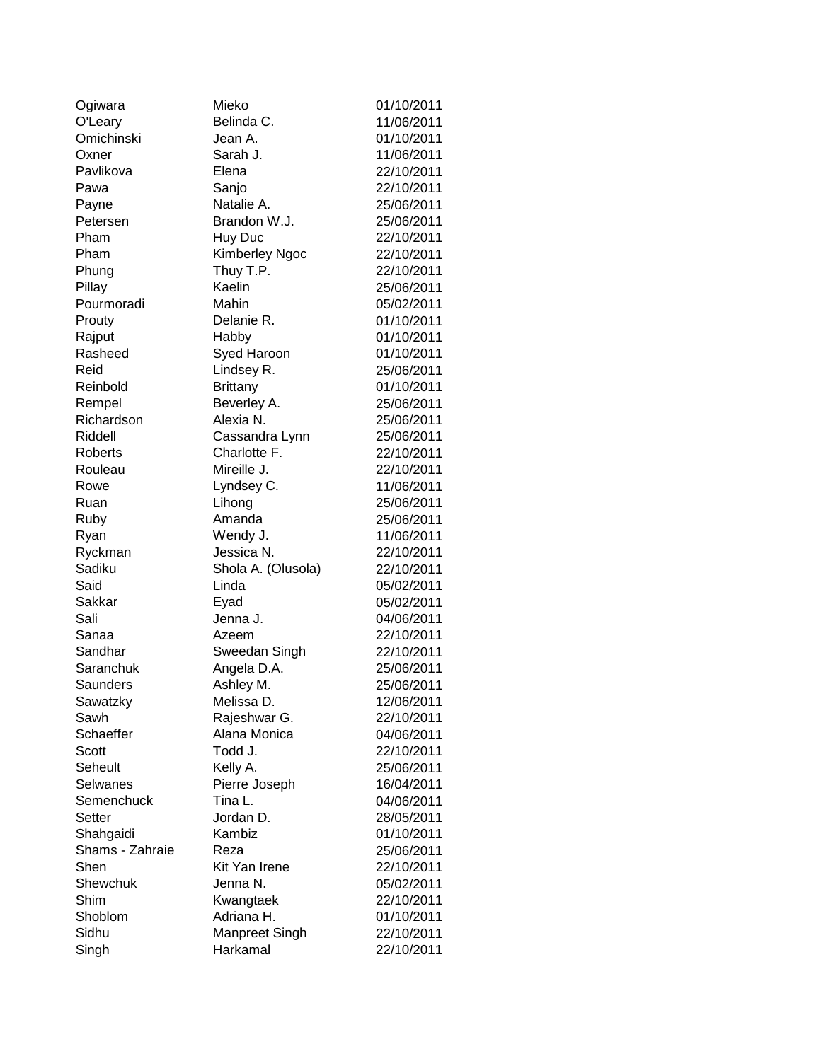| Ogiwara          | Mieko                   | 01/10/2011 |
|------------------|-------------------------|------------|
| O'Leary          | Belinda C.              | 11/06/2011 |
| Omichinski       | Jean A.                 | 01/10/2011 |
| Oxner            | Sarah J.                | 11/06/2011 |
| Pavlikova        | Elena                   | 22/10/2011 |
| Pawa             | Sanjo                   | 22/10/2011 |
| Payne            | Natalie A.              | 25/06/2011 |
| Petersen         | Brandon W.J.            | 25/06/2011 |
| Pham             | Huy Duc                 | 22/10/2011 |
| Pham             | Kimberley Ngoc          | 22/10/2011 |
| Phung            | Thuy T.P.               | 22/10/2011 |
| Pillay           | Kaelin                  | 25/06/2011 |
| Pourmoradi       | Mahin                   | 05/02/2011 |
| Prouty           | Delanie R.              | 01/10/2011 |
| Rajput           | Habby                   | 01/10/2011 |
| Rasheed          | Syed Haroon             | 01/10/2011 |
| Reid             | Lindsey R.              | 25/06/2011 |
| Reinbold         | <b>Brittany</b>         | 01/10/2011 |
| Rempel           | Beverley A.             | 25/06/2011 |
| Richardson       | Alexia N.               | 25/06/2011 |
| Riddell          | Cassandra Lynn          | 25/06/2011 |
| Roberts          | Charlotte F.            | 22/10/2011 |
| Rouleau          | Mireille J.             | 22/10/2011 |
| Rowe             | Lyndsey C.              | 11/06/2011 |
| Ruan             | Lihong                  | 25/06/2011 |
| Ruby             | Amanda                  | 25/06/2011 |
| Ryan             | Wendy J.                | 11/06/2011 |
| Ryckman          | Jessica N.              | 22/10/2011 |
| Sadiku           | Shola A. (Olusola)      | 22/10/2011 |
| Said             | Linda                   | 05/02/2011 |
| Sakkar           | Eyad                    | 05/02/2011 |
| Sali             | Jenna J.                | 04/06/2011 |
| Sanaa            | Azeem                   | 22/10/2011 |
| Sandhar          | Sweedan Singh           | 22/10/2011 |
| Saranchuk        | Angela D.A.             | 25/06/2011 |
| Saunders         | Ashley M.               | 25/06/2011 |
| Sawatzky         | Melissa D.              | 12/06/2011 |
| Sawh             | Rajeshwar G.            | 22/10/2011 |
| Schaeffer        | Alana Monica            | 04/06/2011 |
| Scott            | Todd J.                 | 22/10/2011 |
| Seheult          | Kelly A.                | 25/06/2011 |
| Selwanes         | Pierre Joseph           | 16/04/2011 |
| Semenchuck       | Tina L.                 | 04/06/2011 |
| Setter           | Jordan D.               | 28/05/2011 |
| Shahgaidi        | Kambiz                  | 01/10/2011 |
| Shams - Zahraie  | Reza                    |            |
| Shen             | Kit Yan Irene           | 25/06/2011 |
|                  |                         | 22/10/2011 |
| Shewchuk<br>Shim | Jenna N.                | 05/02/2011 |
|                  | Kwangtaek<br>Adriana H. | 22/10/2011 |
| Shoblom          |                         | 01/10/2011 |
| Sidhu            | Manpreet Singh          | 22/10/2011 |
| Singh            | Harkamal                | 22/10/2011 |